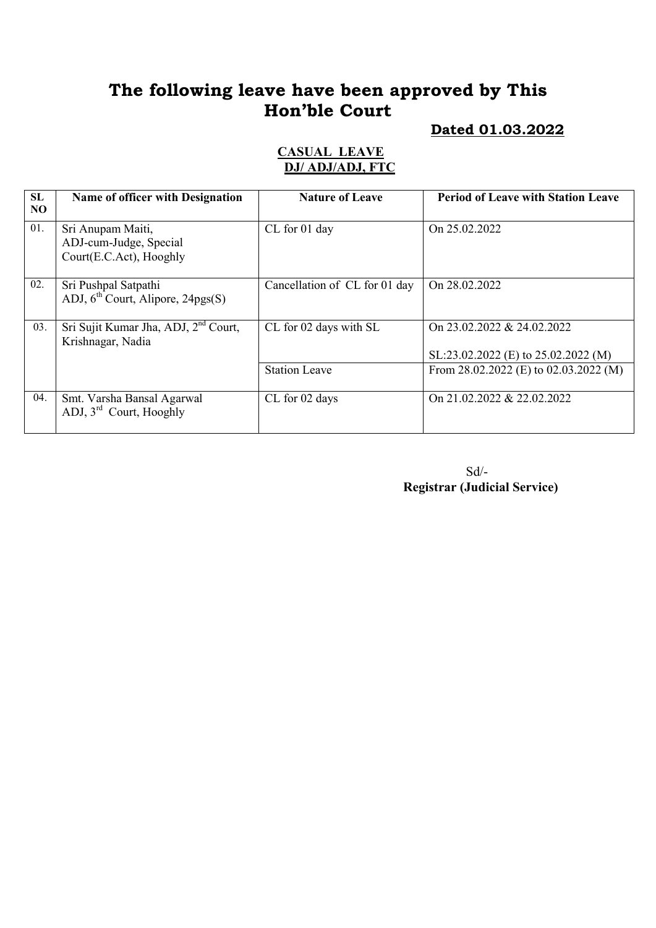# The following leave have been approved by This Hon'ble Court

#### Dated 01.03.2022

#### CASUAL LEAVE DJ/ ADJ/ADJ, FTC

| SL<br>N <sub>O</sub> | Name of officer with Designation                                       | <b>Nature of Leave</b>        | <b>Period of Leave with Station Leave</b>                         |
|----------------------|------------------------------------------------------------------------|-------------------------------|-------------------------------------------------------------------|
| 01.                  | Sri Anupam Maiti,<br>ADJ-cum-Judge, Special<br>Court(E.C.Act), Hooghly | CL for 01 day                 | On 25.02.2022                                                     |
| 02.                  | Sri Pushpal Satpathi<br>ADJ, $6th$ Court, Alipore, 24pgs(S)            | Cancellation of CL for 01 day | On 28.02.2022                                                     |
| 03.                  | Sri Sujit Kumar Jha, ADJ, 2 <sup>nd</sup> Court,<br>Krishnagar, Nadia  | CL for 02 days with SL        | On 23.02.2022 & 24.02.2022<br>SL:23.02.2022 (E) to 25.02.2022 (M) |
|                      |                                                                        | <b>Station Leave</b>          | From $28.02.2022$ (E) to $02.03.2022$ (M)                         |
| 04.                  | Smt. Varsha Bansal Agarwal<br>ADJ, 3rd Court, Hooghly                  | CL for 02 days                | On 21.02.2022 & 22.02.2022                                        |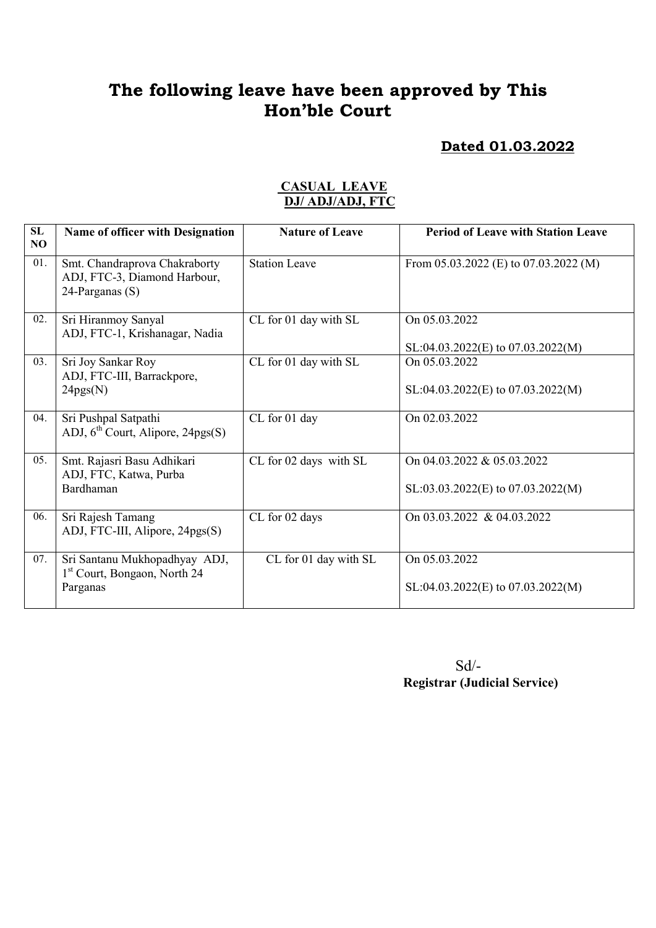# The following leave have been approved by This Hon'ble Court

#### Dated 01.03.2022

| SL<br>N <sub>O</sub> | Name of officer with Designation                                                      | <b>Nature of Leave</b> | <b>Period of Leave with Station Leave</b>                          |
|----------------------|---------------------------------------------------------------------------------------|------------------------|--------------------------------------------------------------------|
| 01.                  | Smt. Chandraprova Chakraborty<br>ADJ, FTC-3, Diamond Harbour,<br>24-Parganas (S)      | <b>Station Leave</b>   | From $05.03.2022$ (E) to $07.03.2022$ (M)                          |
| 02.                  | Sri Hiranmoy Sanyal<br>ADJ, FTC-1, Krishanagar, Nadia                                 | CL for 01 day with SL  | On 05.03.2022<br>$SL:04.03.2022(E)$ to 07.03.2022(M)               |
| 03.                  | Sri Joy Sankar Roy<br>ADJ, FTC-III, Barrackpore,<br>24pgs(N)                          | CL for 01 day with SL  | On 05.03.2022<br>$SL:04.03.2022(E)$ to 07.03.2022(M)               |
| 04.                  | Sri Pushpal Satpathi<br>ADJ, $6th$ Court, Alipore, 24pgs(S)                           | CL for 01 day          | On 02.03.2022                                                      |
| 05.                  | Smt. Rajasri Basu Adhikari<br>ADJ, FTC, Katwa, Purba<br>Bardhaman                     | CL for 02 days with SL | On 04.03.2022 & 05.03.2022<br>$SL: 03.03.2022(E)$ to 07.03.2022(M) |
| 06.                  | Sri Rajesh Tamang<br>ADJ, FTC-III, Alipore, 24pgs(S)                                  | CL for 02 days         | On 03.03.2022 & 04.03.2022                                         |
| 07.                  | Sri Santanu Mukhopadhyay ADJ,<br>1 <sup>st</sup> Court, Bongaon, North 24<br>Parganas | CL for 01 day with SL  | On 05.03.2022<br>$SL:04.03.2022(E)$ to 07.03.2022(M)               |

#### CASUAL LEAVE DJ/ ADJ/ADJ, FTC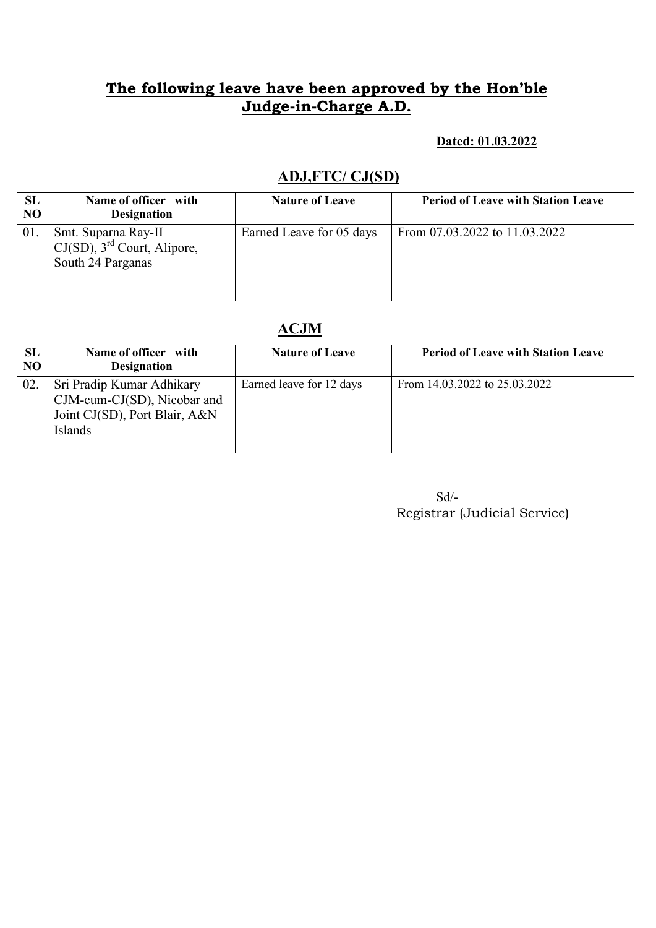# The following leave have been approved by the Hon'ble Judge-in-Charge A.D.

#### Dated: 01.03.2022

### ADJ,FTC/ CJ(SD)

| SL<br>N <sub>O</sub> | Name of officer with<br><b>Designation</b>                                             | <b>Nature of Leave</b>   | <b>Period of Leave with Station Leave</b> |
|----------------------|----------------------------------------------------------------------------------------|--------------------------|-------------------------------------------|
| 01.                  | Smt. Suparna Ray-II<br>$CJ(SD)$ , 3 <sup>rd</sup> Court, Alipore,<br>South 24 Parganas | Earned Leave for 05 days | From 07.03.2022 to 11.03.2022             |

### ACJM

| <b>SL</b><br>NO | Name of officer with<br><b>Designation</b>                                                           | <b>Nature of Leave</b>   | <b>Period of Leave with Station Leave</b> |
|-----------------|------------------------------------------------------------------------------------------------------|--------------------------|-------------------------------------------|
| 02              | Sri Pradip Kumar Adhikary<br>CJM-cum-CJ(SD), Nicobar and<br>Joint CJ(SD), Port Blair, A&N<br>Islands | Earned leave for 12 days | From 14.03.2022 to 25.03.2022             |